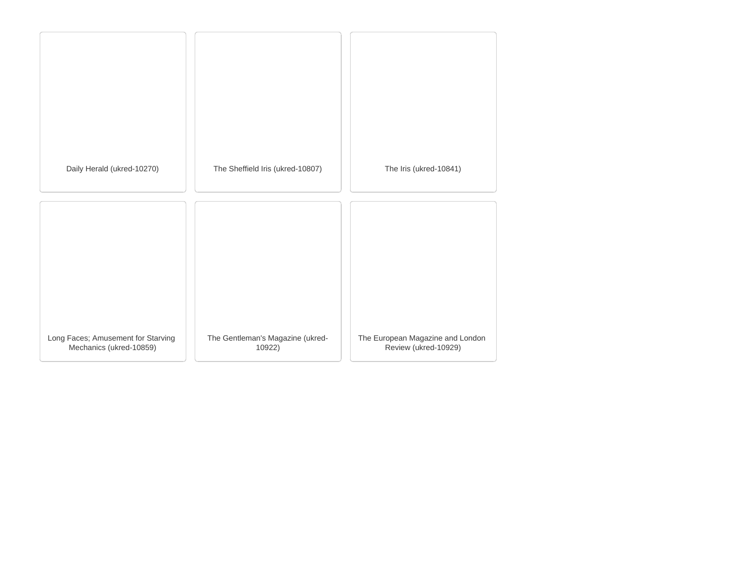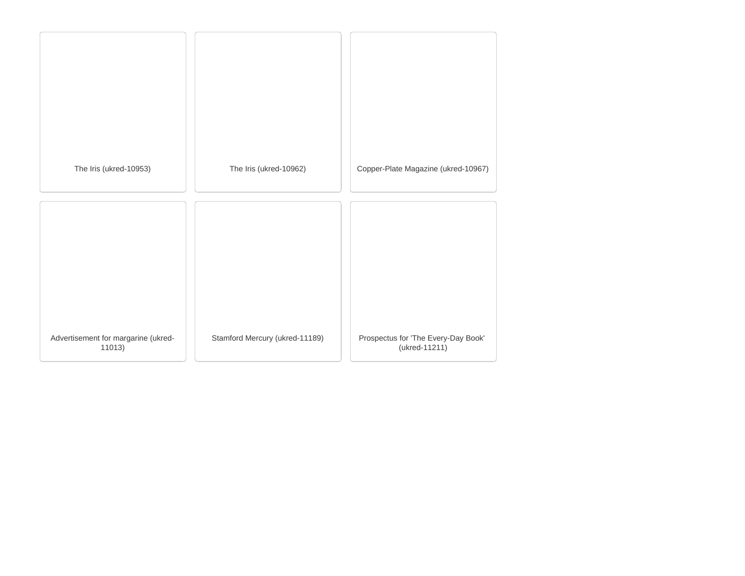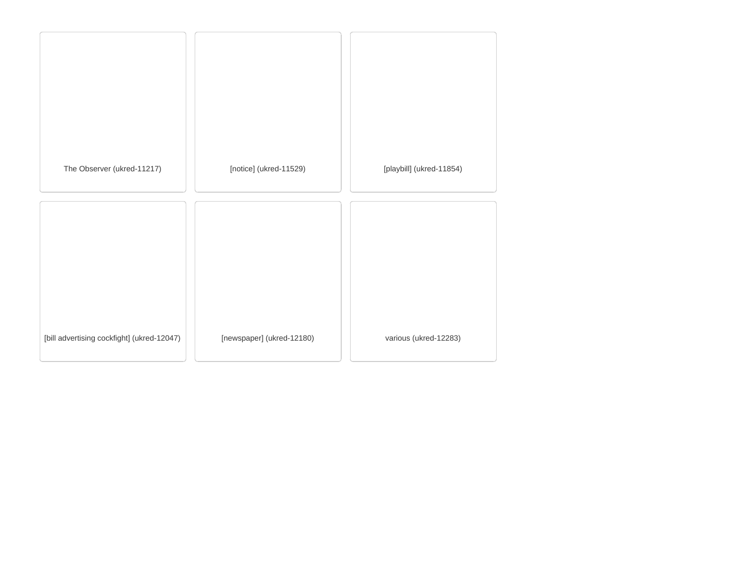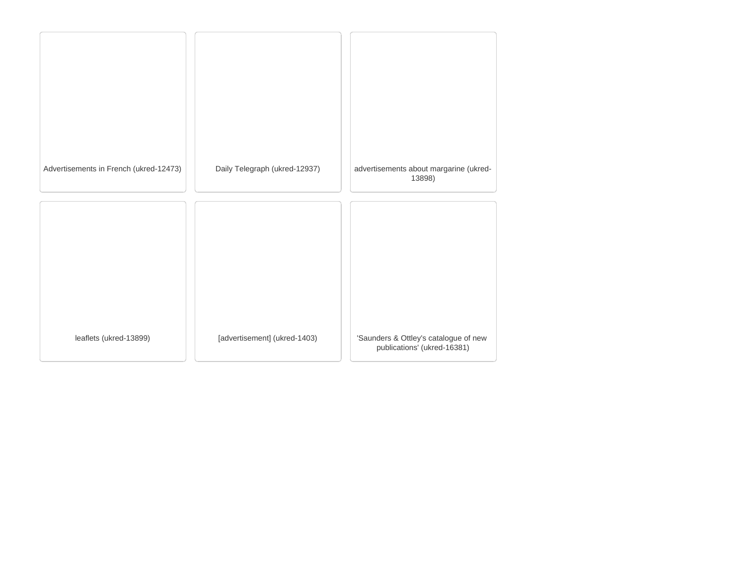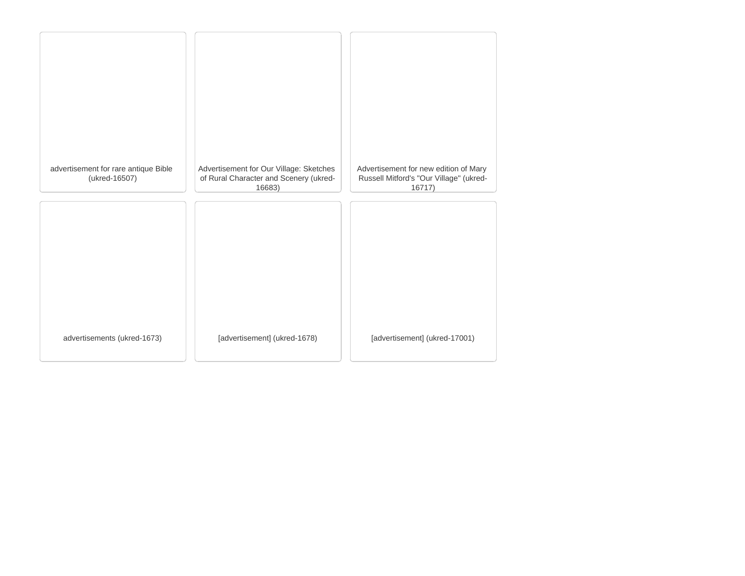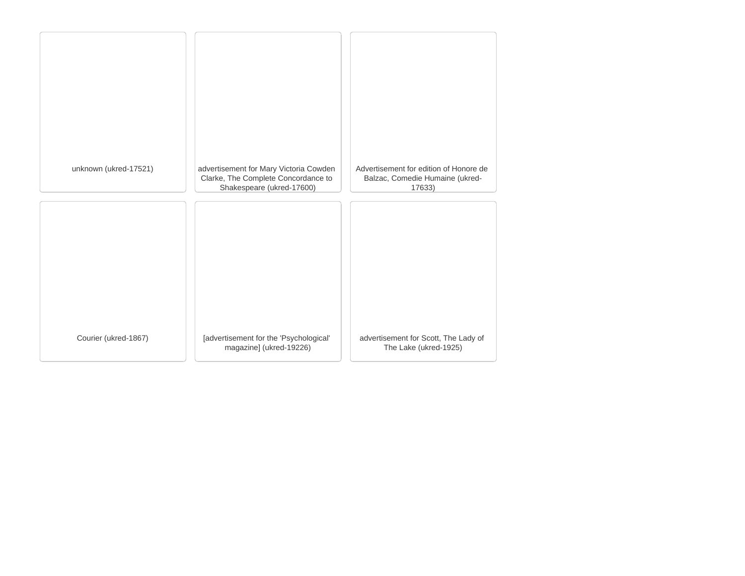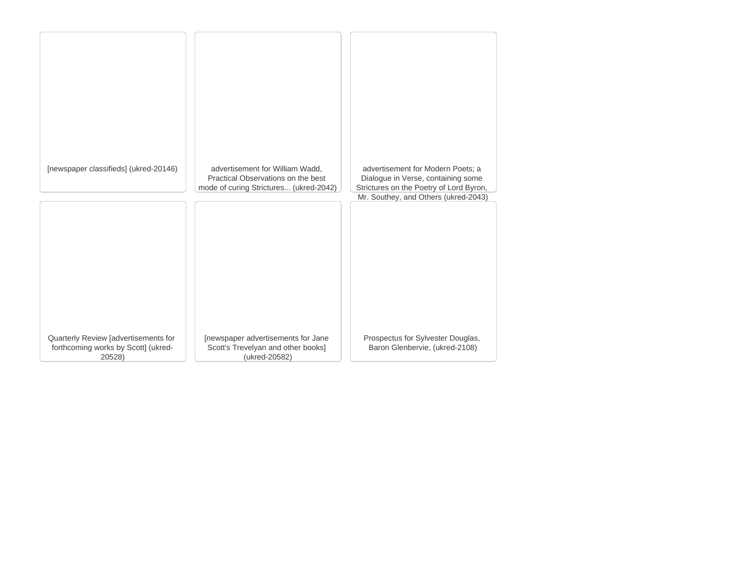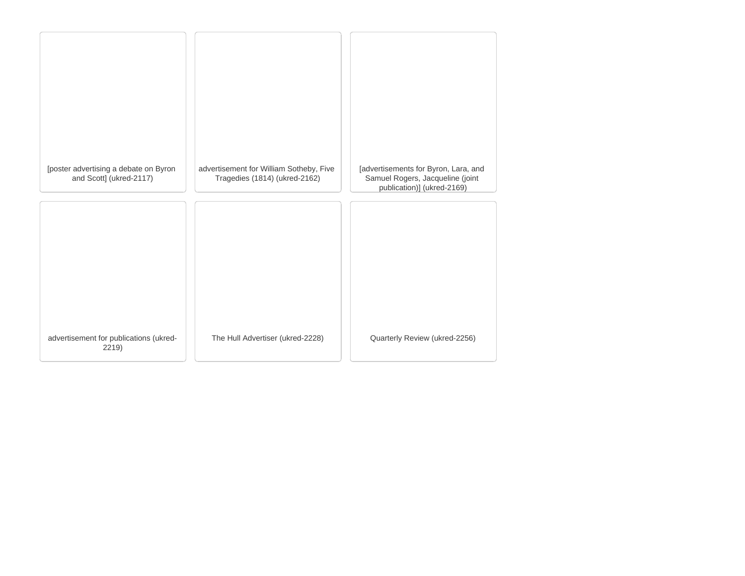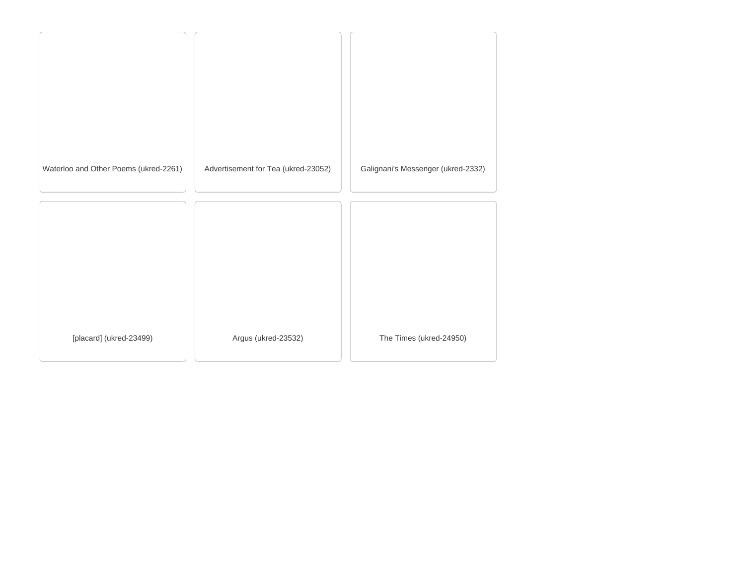| Waterloo and Other Poems (ukred-2261) | Advertisement for Tea (ukred-23052) | Galignani's Messenger (ukred-2332) |
|---------------------------------------|-------------------------------------|------------------------------------|
|                                       |                                     |                                    |
|                                       |                                     |                                    |
|                                       |                                     |                                    |
|                                       |                                     |                                    |
|                                       |                                     |                                    |
|                                       |                                     |                                    |
|                                       |                                     |                                    |
| [placard] (ukred-23499)               | Argus (ukred-23532)                 | The Times (ukred-24950)            |
|                                       |                                     |                                    |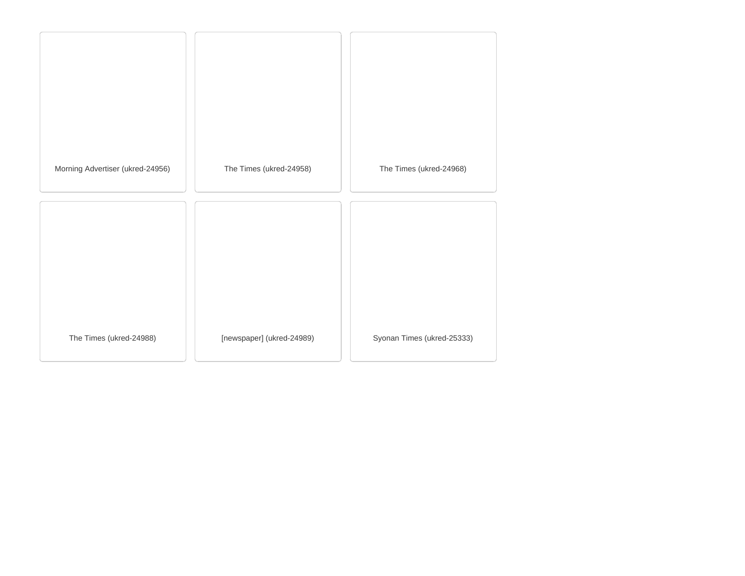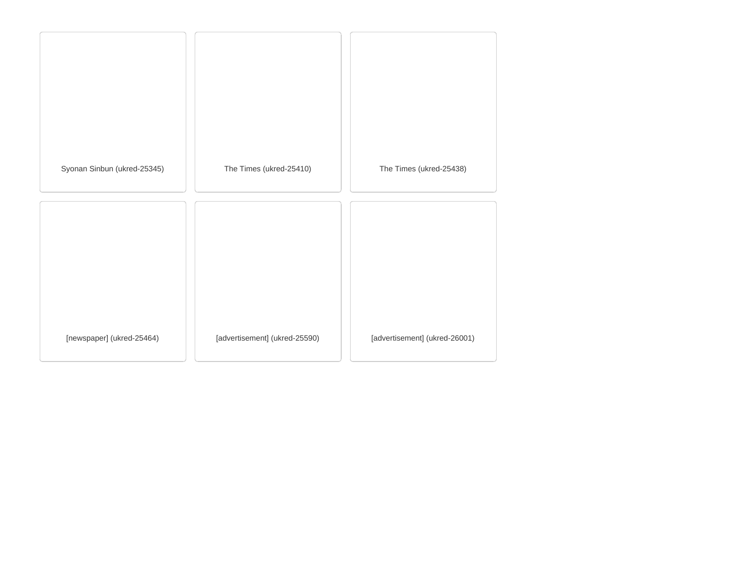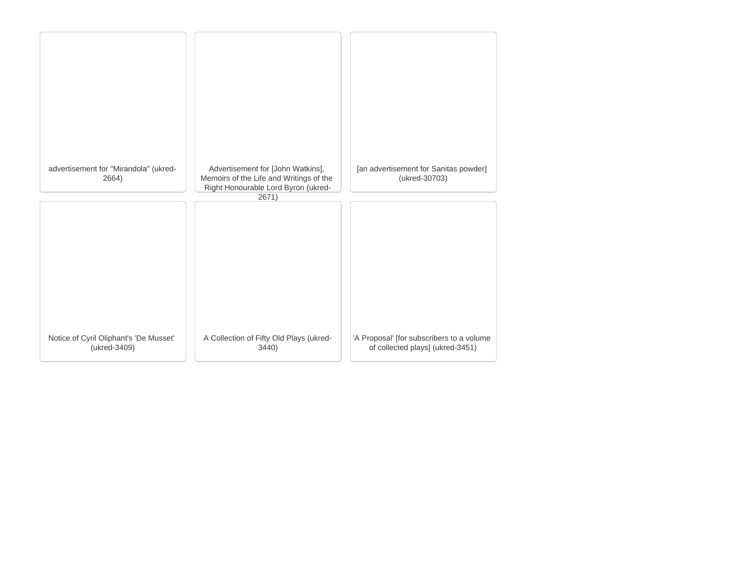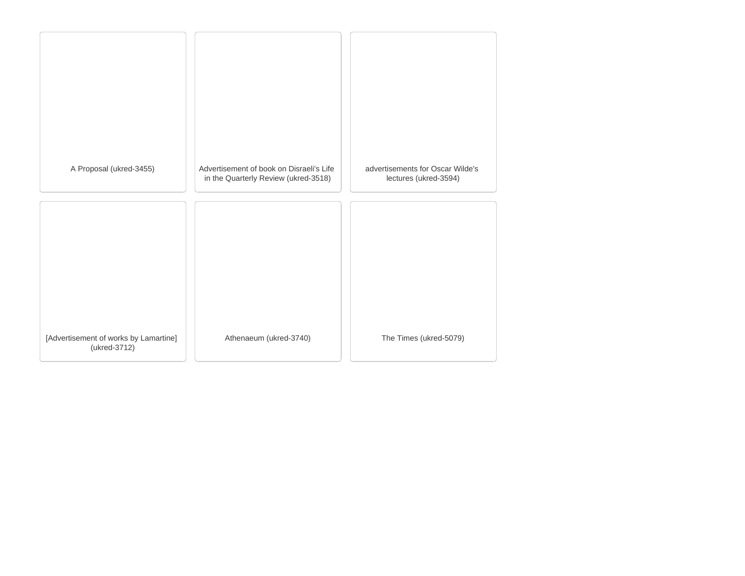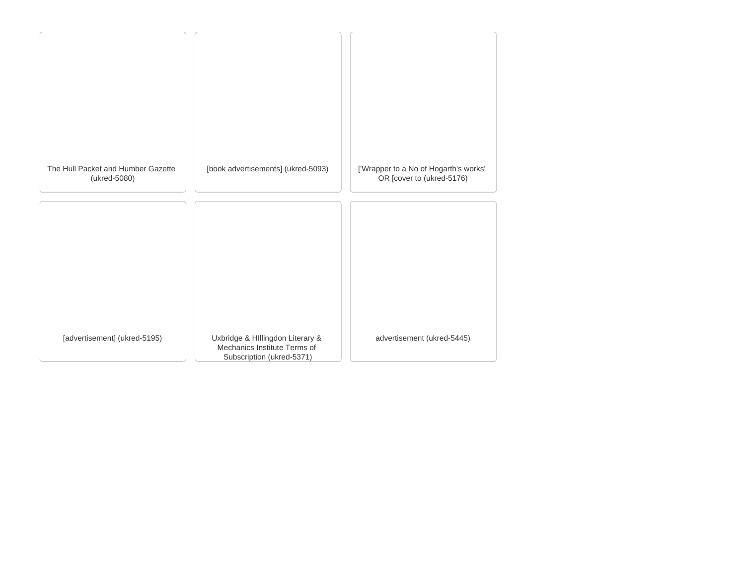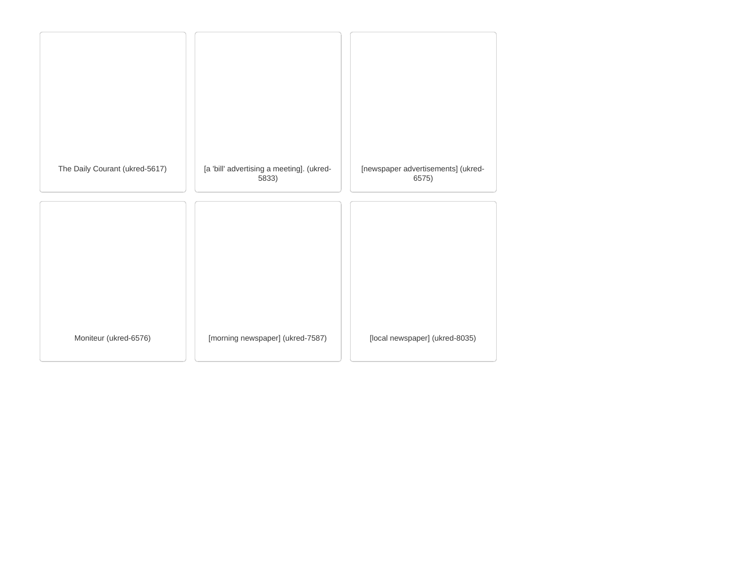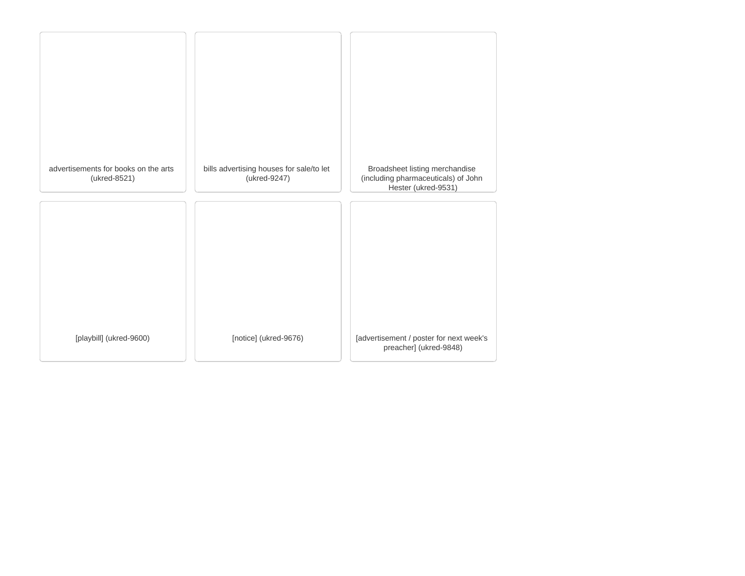